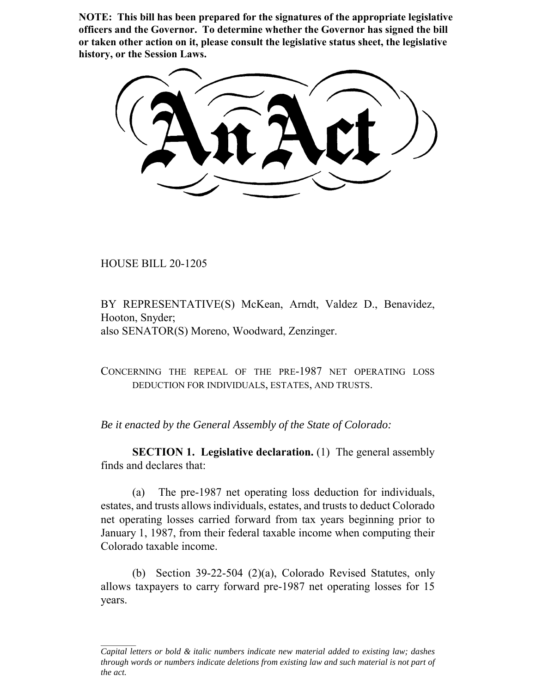**NOTE: This bill has been prepared for the signatures of the appropriate legislative officers and the Governor. To determine whether the Governor has signed the bill or taken other action on it, please consult the legislative status sheet, the legislative history, or the Session Laws.**

HOUSE BILL 20-1205

BY REPRESENTATIVE(S) McKean, Arndt, Valdez D., Benavidez, Hooton, Snyder; also SENATOR(S) Moreno, Woodward, Zenzinger.

CONCERNING THE REPEAL OF THE PRE-1987 NET OPERATING LOSS DEDUCTION FOR INDIVIDUALS, ESTATES, AND TRUSTS.

*Be it enacted by the General Assembly of the State of Colorado:*

**SECTION 1. Legislative declaration.** (1) The general assembly finds and declares that:

(a) The pre-1987 net operating loss deduction for individuals, estates, and trusts allows individuals, estates, and trusts to deduct Colorado net operating losses carried forward from tax years beginning prior to January 1, 1987, from their federal taxable income when computing their Colorado taxable income.

(b) Section 39-22-504 (2)(a), Colorado Revised Statutes, only allows taxpayers to carry forward pre-1987 net operating losses for 15 years.

*Capital letters or bold & italic numbers indicate new material added to existing law; dashes through words or numbers indicate deletions from existing law and such material is not part of the act.*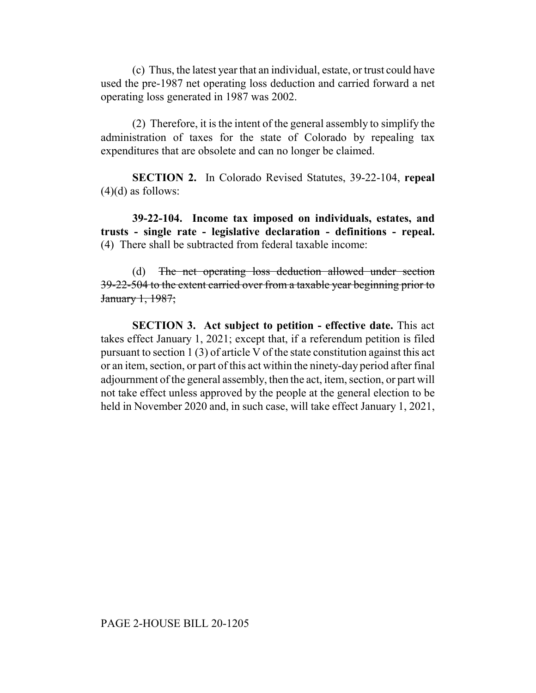(c) Thus, the latest year that an individual, estate, or trust could have used the pre-1987 net operating loss deduction and carried forward a net operating loss generated in 1987 was 2002.

(2) Therefore, it is the intent of the general assembly to simplify the administration of taxes for the state of Colorado by repealing tax expenditures that are obsolete and can no longer be claimed.

**SECTION 2.** In Colorado Revised Statutes, 39-22-104, **repeal**  $(4)(d)$  as follows:

**39-22-104. Income tax imposed on individuals, estates, and trusts - single rate - legislative declaration - definitions - repeal.** (4) There shall be subtracted from federal taxable income:

(d) The net operating loss deduction allowed under section 39-22-504 to the extent carried over from a taxable year beginning prior to January 1, 1987;

**SECTION 3. Act subject to petition - effective date.** This act takes effect January 1, 2021; except that, if a referendum petition is filed pursuant to section 1 (3) of article V of the state constitution against this act or an item, section, or part of this act within the ninety-day period after final adjournment of the general assembly, then the act, item, section, or part will not take effect unless approved by the people at the general election to be held in November 2020 and, in such case, will take effect January 1, 2021,